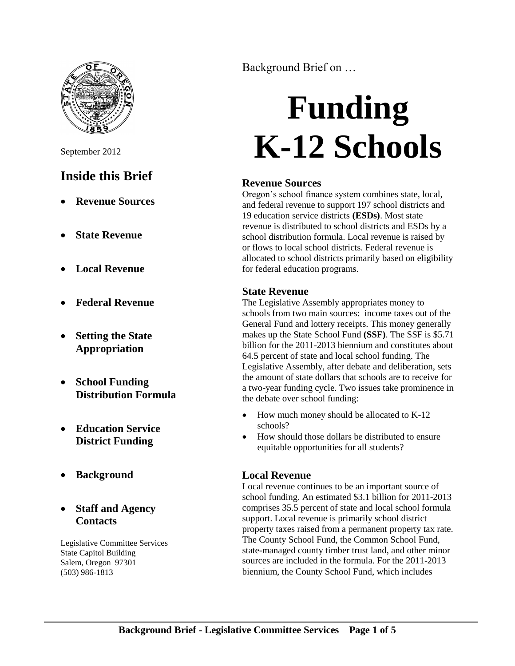

September 2012

## **Inside this Brief**

- **Revenue Sources**
- **State Revenue**
- **Local Revenue**
- **Federal Revenue**
- **Setting the State Appropriation**
- **School Funding Distribution Formula**
- **Education Service District Funding**
- **Background**
- **Staff and Agency Contacts**

Legislative Committee Services State Capitol Building Salem, Oregon 97301 (503) 986-1813

Background Brief on …

# **Funding K-12 Schools**

## **Revenue Sources**

Oregon's school finance system combines state, local, and federal revenue to support 197 school districts and 19 education service districts **(ESDs)**. Most state revenue is distributed to school districts and ESDs by a school distribution formula. Local revenue is raised by or flows to local school districts. Federal revenue is allocated to school districts primarily based on eligibility for federal education programs.

## **State Revenue**

The Legislative Assembly appropriates money to schools from two main sources: income taxes out of the General Fund and lottery receipts. This money generally makes up the State School Fund **(SSF)**. The SSF is \$5.71 billion for the 2011-2013 biennium and constitutes about 64.5 percent of state and local school funding. The Legislative Assembly, after debate and deliberation, sets the amount of state dollars that schools are to receive for a two-year funding cycle. Two issues take prominence in the debate over school funding:

- How much money should be allocated to K-12 schools?
- How should those dollars be distributed to ensure equitable opportunities for all students?

## **Local Revenue**

Local revenue continues to be an important source of school funding. An estimated \$3.1 billion for 2011-2013 comprises 35.5 percent of state and local school formula support. Local revenue is primarily school district property taxes raised from a permanent property tax rate. The County School Fund, the Common School Fund, state-managed county timber trust land, and other minor sources are included in the formula. For the 2011-2013 biennium, the County School Fund, which includes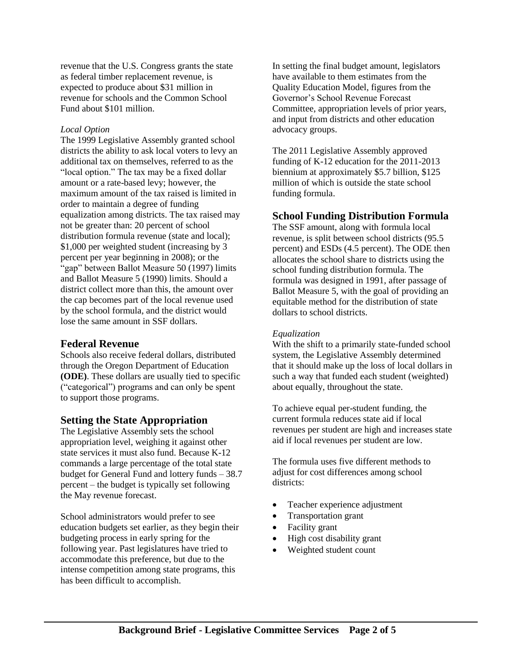revenue that the U.S. Congress grants the state as federal timber replacement revenue, is expected to produce about \$31 million in revenue for schools and the Common School Fund about \$101 million.

#### *Local Option*

The 1999 Legislative Assembly granted school districts the ability to ask local voters to levy an additional tax on themselves, referred to as the "local option." The tax may be a fixed dollar amount or a rate-based levy; however, the maximum amount of the tax raised is limited in order to maintain a degree of funding equalization among districts. The tax raised may not be greater than: 20 percent of school distribution formula revenue (state and local); \$1,000 per weighted student (increasing by 3 percent per year beginning in 2008); or the "gap" between Ballot Measure 50 (1997) limits and Ballot Measure 5 (1990) limits. Should a district collect more than this, the amount over the cap becomes part of the local revenue used by the school formula, and the district would lose the same amount in SSF dollars.

## **Federal Revenue**

Schools also receive federal dollars, distributed through the Oregon Department of Education **(ODE)**. These dollars are usually tied to specific ("categorical") programs and can only be spent to support those programs.

## **Setting the State Appropriation**

The Legislative Assembly sets the school appropriation level, weighing it against other state services it must also fund. Because K-12 commands a large percentage of the total state budget for General Fund and lottery funds – 38.7 percent – the budget is typically set following the May revenue forecast.

School administrators would prefer to see education budgets set earlier, as they begin their budgeting process in early spring for the following year. Past legislatures have tried to accommodate this preference, but due to the intense competition among state programs, this has been difficult to accomplish.

In setting the final budget amount, legislators have available to them estimates from the Quality Education Model, figures from the Governor's School Revenue Forecast Committee, appropriation levels of prior years, and input from districts and other education advocacy groups.

The 2011 Legislative Assembly approved funding of K-12 education for the 2011-2013 biennium at approximately \$5.7 billion, \$125 million of which is outside the state school funding formula.

## **School Funding Distribution Formula**

The SSF amount, along with formula local revenue, is split between school districts (95.5 percent) and ESDs (4.5 percent). The ODE then allocates the school share to districts using the school funding distribution formula. The formula was designed in 1991, after passage of Ballot Measure 5, with the goal of providing an equitable method for the distribution of state dollars to school districts.

#### *Equalization*

With the shift to a primarily state-funded school system, the Legislative Assembly determined that it should make up the loss of local dollars in such a way that funded each student (weighted) about equally, throughout the state.

To achieve equal per-student funding, the current formula reduces state aid if local revenues per student are high and increases state aid if local revenues per student are low.

The formula uses five different methods to adjust for cost differences among school districts:

- Teacher experience adjustment
- Transportation grant
- Facility grant
- High cost disability grant
- Weighted student count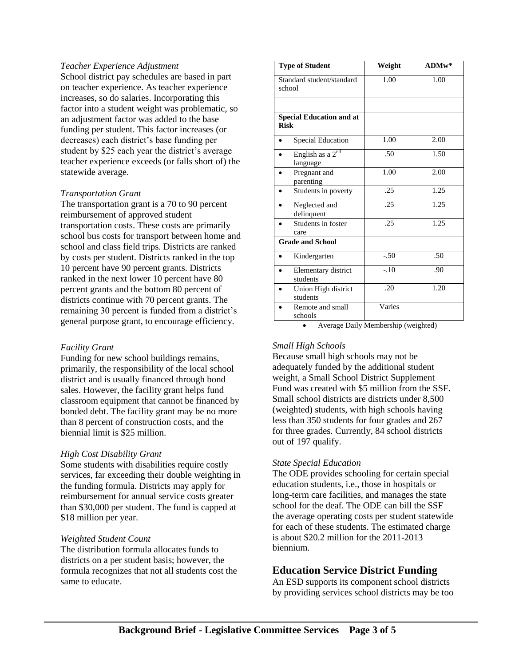#### *Teacher Experience Adjustment*

School district pay schedules are based in part on teacher experience. As teacher experience increases, so do salaries. Incorporating this factor into a student weight was problematic, so an adjustment factor was added to the base funding per student. This factor increases (or decreases) each district's base funding per student by \$25 each year the district's average teacher experience exceeds (or falls short of) the statewide average.

#### *Transportation Grant*

The transportation grant is a 70 to 90 percent reimbursement of approved student transportation costs. These costs are primarily school bus costs for transport between home and school and class field trips. Districts are ranked by costs per student. Districts ranked in the top 10 percent have 90 percent grants. Districts ranked in the next lower 10 percent have 80 percent grants and the bottom 80 percent of districts continue with 70 percent grants. The remaining 30 percent is funded from a district's general purpose grant, to encourage efficiency.

#### *Facility Grant*

Funding for new school buildings remains, primarily, the responsibility of the local school district and is usually financed through bond sales. However, the facility grant helps fund classroom equipment that cannot be financed by bonded debt. The facility grant may be no more than 8 percent of construction costs, and the biennial limit is \$25 million.

#### *High Cost Disability Grant*

Some students with disabilities require costly services, far exceeding their double weighting in the funding formula. Districts may apply for reimbursement for annual service costs greater than \$30,000 per student. The fund is capped at \$18 million per year.

#### *Weighted Student Count*

The distribution formula allocates funds to districts on a per student basis; however, the formula recognizes that not all students cost the same to educate.

| <b>Type of Student</b>                         | Weight | $ADMw*$ |  |
|------------------------------------------------|--------|---------|--|
| Standard student/standard<br>school            | 1.00   | 1.00    |  |
|                                                |        |         |  |
| <b>Special Education and at</b><br><b>Risk</b> |        |         |  |
| <b>Special Education</b>                       | 1.00   | 2.00    |  |
| English as a 2 <sup>nd</sup><br>language       | .50    | 1.50    |  |
| Pregnant and<br>parenting                      | 1.00   | 2.00    |  |
| Students in poverty                            | .25    | 1.25    |  |
| Neglected and<br>delinquent                    | .25    | 1.25    |  |
| Students in foster<br>care                     | .25    | 1.25    |  |
| <b>Grade and School</b>                        |        |         |  |
| Kindergarten                                   | $-.50$ | .50     |  |
| Elementary district<br>students                | $-.10$ | .90     |  |
| Union High district<br>students                | .20    | 1.20    |  |
| Remote and small<br>schools                    | Varies |         |  |

Average Daily Membership (weighted)

#### *Small High Schools*

Because small high schools may not be adequately funded by the additional student weight, a Small School District Supplement Fund was created with \$5 million from the SSF. Small school districts are districts under 8,500 (weighted) students, with high schools having less than 350 students for four grades and 267 for three grades. Currently, 84 school districts out of 197 qualify.

#### *State Special Education*

The ODE provides schooling for certain special education students, i.e., those in hospitals or long-term care facilities, and manages the state school for the deaf. The ODE can bill the SSF the average operating costs per student statewide for each of these students. The estimated charge is about \$20.2 million for the 2011-2013 biennium.

#### **Education Service District Funding**

An ESD supports its component school districts by providing services school districts may be too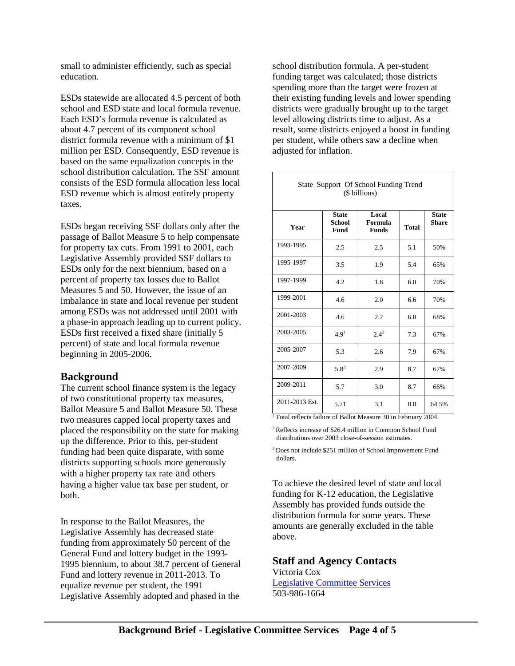small to administer efficiently, such as special education.

ESDs statewide are allocated 4.5 percent of both school and ESD state and local formula revenue. Each ESD's formula revenue is calculated as about 4.7 percent of its component school district formula revenue with a minimum of \$1 million per ESD. Consequently, ESD revenue is based on the same equalization concepts in the school distribution calculation. The SSF amount consists of the ESD formula allocation less local ESD revenue which is almost entirely property taxes.

ESDs began receiving SSF dollars only after the passage of Ballot Measure 5 to help compensate for property tax cuts. From 1991 to 2001, each Legislative Assembly provided SSF dollars to ESDs only for the next biennium, based on a percent of property tax losses due to Ballot Measures 5 and 50. However, the issue of an imbalance in state and local revenue per student among ESDs was not addressed until 2001 with a phase-in approach leading up to current policy. ESDs first received a fixed share (initially 5 percent) of state and local formula revenue beginning in 2005-2006.

## **Background**

The current school finance system is the legacy of two constitutional property tax measures, Ballot Measure 5 and Ballot Measure 50. These two measures capped local property taxes and placed the responsibility on the state for making up the difference. Prior to this, per-student funding had been quite disparate, with some districts supporting schools more generously with a higher property tax rate and others having a higher value tax base per student, or both.

In response to the Ballot Measures, the Legislative Assembly has decreased state funding from approximately 50 percent of the General Fund and lottery budget in the 1993- 1995 biennium, to about 38.7 percent of General Fund and lottery revenue in 2011-2013. To equalize revenue per student, the 1991 Legislative Assembly adopted and phased in the

school distribution formula. A per-student funding target was calculated; those districts spending more than the target were frozen at their existing funding levels and lower spending districts were gradually brought up to the target level allowing districts time to adjust. As a result, some districts enjoyed a boost in funding per student, while others saw a decline when adjusted for inflation.

| State Support Of School Funding Trend<br>(\$ billions) |                                              |                                  |              |                              |  |
|--------------------------------------------------------|----------------------------------------------|----------------------------------|--------------|------------------------------|--|
| Year                                                   | <b>State</b><br><b>School</b><br><b>Fund</b> | Local<br>Formula<br><b>Funds</b> | <b>Total</b> | <b>State</b><br><b>Share</b> |  |
| 1993-1995                                              | 2.5                                          | 2.5                              | 5.1          | 50%                          |  |
| 1995-1997                                              | 3.5                                          | 1.9                              | 5.4          | 65%                          |  |
| 1997-1999                                              | 4.2                                          | 1.8                              | 6.0          | 70%                          |  |
| 1999-2001                                              | 4.6                                          | 2.0                              | 6.6          | 70%                          |  |
| 2001-2003                                              | 4.6                                          | 2.2                              | 6.8          | 68%                          |  |
| 2003-2005                                              | 4.9 <sup>1</sup>                             | $2.4^{2}$                        | 7.3          | 67%                          |  |
| 2005-2007                                              | 5.3                                          | 2.6                              | 7.9          | 67%                          |  |
| 2007-2009                                              | $5.8^{3}$                                    | 2.9                              | 8.7          | 67%                          |  |
| 2009-2011                                              | 5.7                                          | 3.0                              | 8.7          | 66%                          |  |
| 2011-2013 Est.                                         | 5.71                                         | 3.1                              | 8.8          | 64.5%                        |  |

<sup>1</sup>Total reflects failure of Ballot Measure 30 in February 2004.

<sup>2</sup>Reflects increase of \$26.4 million in Common School Fund distributions over 2003 close-of-session estimates.

<sup>3</sup>Does not include \$251 million of School Improvement Fund dollars.

To achieve the desired level of state and local funding for K-12 education, the Legislative Assembly has provided funds outside the distribution formula for some years. These amounts are generally excluded in the table above.

## **Staff and Agency Contacts**

Victoria Cox [Legislative Committee Services](http://www.leg.state.or.us/comm/) 503-986-1664